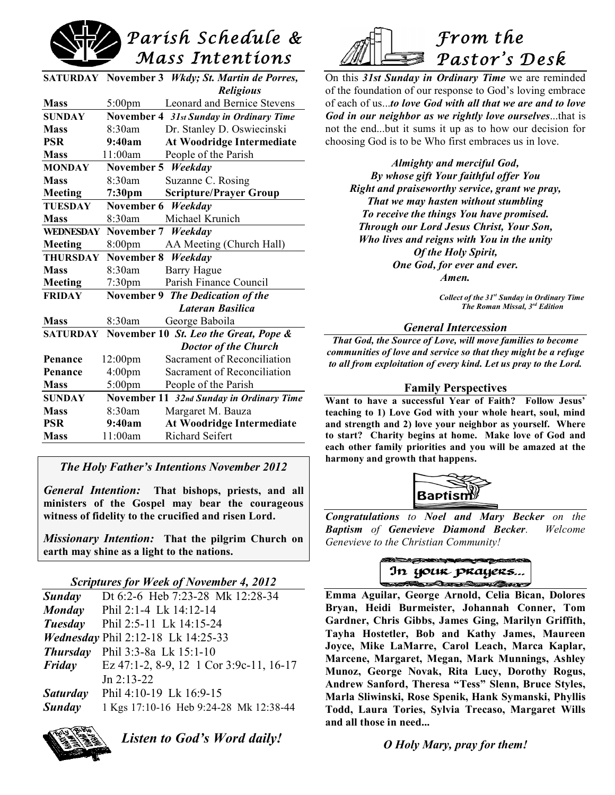

| <b>SATURDAY</b>  |                    | November 3 <i>Wkdy</i> ; St. Martin de Porres, |
|------------------|--------------------|------------------------------------------------|
|                  |                    | <b>Religious</b>                               |
| <b>Mass</b>      | $5:00 \text{pm}$   | <b>Leonard and Bernice Stevens</b>             |
| <b>SUNDAY</b>    |                    | November 4 31st Sunday in Ordinary Time        |
| <b>Mass</b>      | 8:30am             | Dr. Stanley D. Oswiecinski                     |
| <b>PSR</b>       | 9:40am             | <b>At Woodridge Intermediate</b>               |
| <b>Mass</b>      | 11:00am            | People of the Parish                           |
| <b>MONDAY</b>    | November 5 Weekday |                                                |
| <b>Mass</b>      | 8:30am             | Suzanne C. Rosing                              |
| Meeting          | 7:30pm             | <b>Scripture/Prayer Group</b>                  |
| <b>TUESDAY</b>   | November 6         | Weekday                                        |
| <b>Mass</b>      | 8:30am             | Michael Krunich                                |
| <b>WEDNESDAY</b> | November 7         | Weekday                                        |
| Meeting          | 8:00pm             | AA Meeting (Church Hall)                       |
| <b>THURSDAY</b>  | November 8         | Weekday                                        |
| <b>Mass</b>      | 8:30am             | Barry Hague                                    |
| Meeting          | 7:30 <sub>pm</sub> | Parish Finance Council                         |
| <b>FRIDAY</b>    |                    | November 9 The Dedication of the               |
|                  |                    | Lateran Basilica                               |
| <b>Mass</b>      | 8:30am             | George Baboila                                 |
| <b>SATURDAY</b>  |                    | November 10 St. Leo the Great, Pope &          |
|                  |                    | <b>Doctor of the Church</b>                    |
| Penance          | $12:00 \text{pm}$  | Sacrament of Reconciliation                    |
| Penance          | 4:00pm             | Sacrament of Reconciliation                    |
| <b>Mass</b>      | 5:00pm             | People of the Parish                           |
| <b>SUNDAY</b>    |                    | November 11 32nd Sunday in Ordinary Time       |
| <b>Mass</b>      | 8:30am             | Margaret M. Bauza                              |
| <b>PSR</b>       | 9:40am             | <b>At Woodridge Intermediate</b>               |
| <b>Mass</b>      | 11:00am            | <b>Richard Seifert</b>                         |
|                  |                    |                                                |



On this *31st Sunday in Ordinary Time* we are reminded of the foundation of our response to God's loving embrace of each of us...*to love God with all that we are and to love God in our neighbor as we rightly love ourselves*...that is not the end...but it sums it up as to how our decision for choosing God is to be Who first embraces us in love.

*Almighty and merciful God, By whose gift Your faithful offer You Right and praiseworthy service, grant we pray, That we may hasten without stumbling To receive the things You have promised. Through our Lord Jesus Christ, Your Son, Who lives and reigns with You in the unity Of the Holy Spirit, One God, for ever and ever. Amen.*

> *Collect of the 31st Sunday in Ordinary Time The Roman Missal, 3rd Edition*

#### *General Intercession*

*That God, the Source of Love, will move families to become communities of love and service so that they might be a refuge to all from exploitation of every kind. Let us pray to the Lord.*

#### **Family Perspectives**

**Want to have a successful Year of Faith? Follow Jesus' teaching to 1) Love God with your whole heart, soul, mind and strength and 2) love your neighbor as yourself. Where to start? Charity begins at home. Make love of God and each other family priorities and you will be amazed at the harmony and growth that happens.**



*Congratulations to Noel and Mary Becker on the Baptism of Genevieve Diamond Becker. Welcome Genevieve to the Christian Community!*



**Emma Aguilar, George Arnold, Celia Bican, Dolores Bryan, Heidi Burmeister, Johannah Conner, Tom Gardner, Chris Gibbs, James Ging, Marilyn Griffith, Tayha Hostetler, Bob and Kathy James, Maureen Joyce, Mike LaMarre, Carol Leach, Marca Kaplar, Marcene, Margaret, Megan, Mark Munnings, Ashley Munoz, George Novak, Rita Lucy, Dorothy Rogus, Andrew Sanford, Theresa "Tess" Slenn, Bruce Styles, Marla Sliwinski, Rose Spenik, Hank Symanski, Phyllis Todd, Laura Tories, Sylvia Trecaso, Margaret Wills and all those in need...**

## *O Holy Mary, pray for them!*

## *The Holy Father's Intentions November 2012*

*General Intention:* **That bishops, priests, and all ministers of the Gospel may bear the courageous witness of fidelity to the crucified and risen Lord.**

*Missionary Intention:* **That the pilgrim Church on earth may shine as a light to the nations.**

## *Scriptures for Week of November 4, 2012*

| Scriptures for freed of type moet $\pm$ , 2012 |                                           |  |
|------------------------------------------------|-------------------------------------------|--|
| Sunday                                         | Dt 6:2-6 Heb 7:23-28 Mk 12:28-34          |  |
| <b>Monday</b>                                  | Phil 2:1-4 Lk 14:12-14                    |  |
| Tuesday                                        | Phil 2:5-11 Lk 14:15-24                   |  |
|                                                | <i>Wednesday Phil 2:12-18 Lk 14:25-33</i> |  |
| <b>Thursday</b>                                | Phil 3:3-8a Lk 15:1-10                    |  |
| Friday                                         | Ez 47:1-2, 8-9, 12 1 Cor 3:9c-11, 16-17   |  |
|                                                | $Jn 2:13-22$                              |  |
| <b>Saturday</b>                                | Phil 4:10-19 Lk 16:9-15                   |  |
| <b>Sunday</b>                                  | 1 Kgs 17:10-16 Heb 9:24-28 Mk 12:38-44    |  |

*Listen to God's Word daily!*